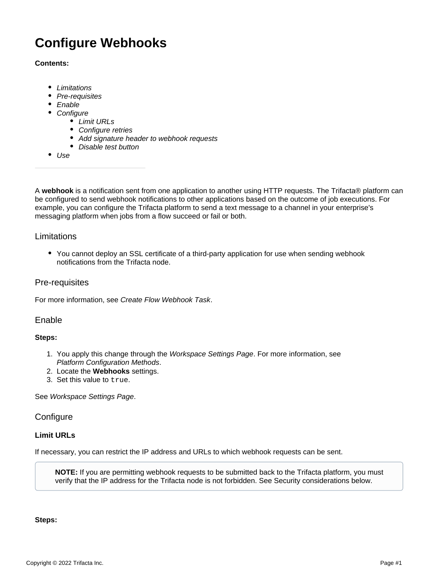# **Configure Webhooks**

#### **Contents:**

- [Limitations](#page-0-0)
- [Pre-requisites](#page-0-1)
- **[Enable](#page-0-2)**
- [Configure](#page-0-3)
	- [Limit URLs](#page-0-4)
	- Configure retries
	- [Add signature header to webhook requests](#page-2-0)
	- [Disable test button](#page-2-1)
- [Use](#page-2-2)

A **webhook** is a notification sent from one application to another using HTTP requests. The Trifacta® platform can be configured to send webhook notifications to other applications based on the outcome of job executions. For example, you can configure the Trifacta platform to send a text message to a channel in your enterprise's messaging platform when jobs from a flow succeed or fail or both.

## <span id="page-0-0"></span>Limitations

• You cannot deploy an SSL certificate of a third-party application for use when sending webhook notifications from the Trifacta node.

# <span id="page-0-1"></span>Pre-requisites

For more information, see [Create Flow Webhook Task](https://docs.trifacta.com/display/r071/Create+Flow+Webhook+Task).

### <span id="page-0-2"></span>Enable

#### **Steps:**

- 1. You apply this change through the [Workspace Settings Page](https://docs.trifacta.com/display/r071/Workspace+Settings+Page). For more information, see [Platform Configuration Methods](https://docs.trifacta.com/display/r071/Platform+Configuration+Methods).
- 2. Locate the **Webhooks** settings.
- 3. Set this value to true.

See [Workspace Settings Page](https://docs.trifacta.com/display/r071/Workspace+Settings+Page).

### <span id="page-0-3"></span>**Configure**

### <span id="page-0-4"></span>**Limit URLs**

If necessary, you can restrict the IP address and URLs to which webhook requests can be sent.

**NOTE:** If you are permitting webhook requests to be submitted back to the Trifacta platform, you must verify that the IP address for the Trifacta node is not forbidden. See Security considerations below.

### **Steps:**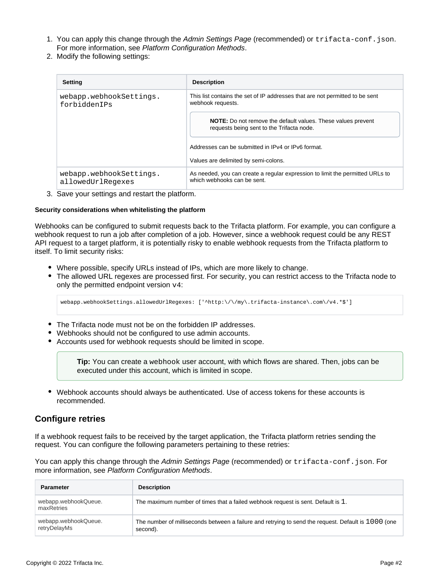- 1. You can apply this change through the [Admin Settings Page](https://docs.trifacta.com/display/r071/Admin+Settings+Page) (recommended) or trifacta-conf.json. For more information, see [Platform Configuration Methods](https://docs.trifacta.com/display/r071/Platform+Configuration+Methods).
- 2. Modify the following settings:

| <b>Setting</b>                               | <b>Description</b>                                                                                               |
|----------------------------------------------|------------------------------------------------------------------------------------------------------------------|
| webapp.webhookSettings.<br>forbiddenTPs      | This list contains the set of IP addresses that are not permitted to be sent<br>webhook requests.                |
|                                              | <b>NOTE:</b> Do not remove the default values. These values prevent<br>requests being sent to the Trifacta node. |
|                                              | Addresses can be submitted in IPv4 or IPv6 format.                                                               |
|                                              | Values are delimited by semi-colons.                                                                             |
| webapp.webhookSettings.<br>allowedUrlRegexes | As needed, you can create a regular expression to limit the permitted URLs to<br>which webhooks can be sent.     |

3. Save your settings and restart the platform.

#### **Security considerations when whitelisting the platform**

Webhooks can be configured to submit requests back to the Trifacta platform. For example, you can configure a webhook request to run a job after completion of a job. However, since a webhook request could be any REST API request to a target platform, it is potentially risky to enable webhook requests from the Trifacta platform to itself. To limit security risks:

- Where possible, specify URLs instead of IPs, which are more likely to change.
- The allowed URL regexes are processed first. For security, you can restrict access to the Trifacta node to only the permitted endpoint version  $v4$ :

webapp.webhookSettings.allowedUrlRegexes: ['^http:\/\/my\.trifacta-instance\.com\/v4.\*\$']

- The Trifacta node must not be on the forbidden IP addresses.
- Webhooks should not be configured to use admin accounts.
- Accounts used for webhook requests should be limited in scope.

**Tip:** You can create a webhook user account, with which flows are shared. Then, jobs can be executed under this account, which is limited in scope.

Webhook accounts should always be authenticated. Use of access tokens for these accounts is recommended.

# <span id="page-1-0"></span>**Configure retries**

If a webhook request fails to be received by the target application, the Trifacta platform retries sending the request. You can configure the following parameters pertaining to these retries:

You can apply this change through the [Admin Settings Page](https://docs.trifacta.com/display/r071/Admin+Settings+Page) (recommended) or trifacta-conf.json. For more information, see [Platform Configuration Methods](https://docs.trifacta.com/display/r071/Platform+Configuration+Methods).

| <b>Parameter</b>                     | <b>Description</b>                                                                                              |
|--------------------------------------|-----------------------------------------------------------------------------------------------------------------|
| webapp.webhookQueue.<br>maxRetries   | The maximum number of times that a failed webhook request is sent. Default is 1.                                |
| webapp.webhookQueue.<br>retryDelayMs | The number of milliseconds between a failure and retrying to send the request. Default is 1000 (one<br>second). |